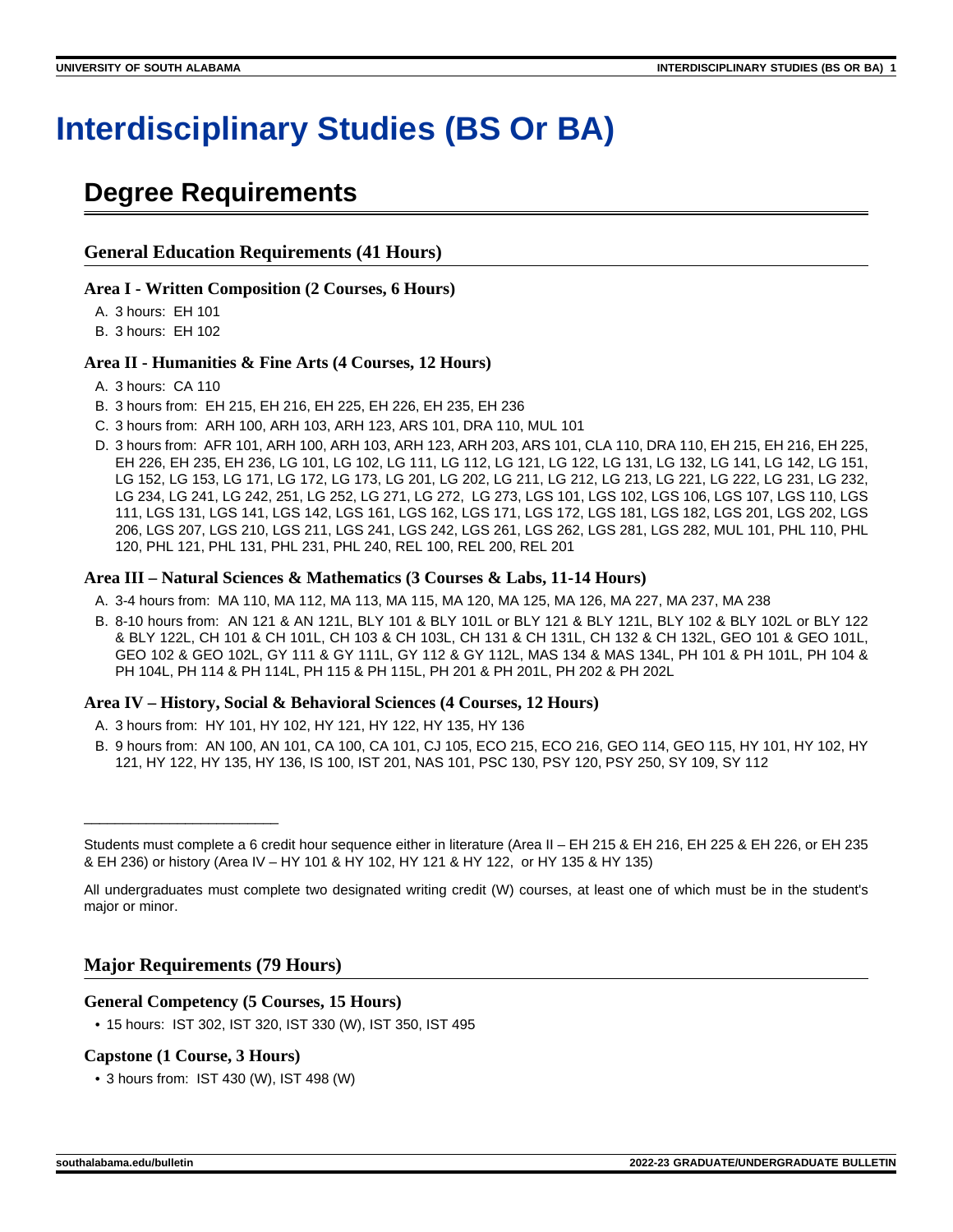# **Interdisciplinary Studies (BS Or BA)**

## **Degree Requirements**

#### **General Education Requirements (41 Hours)**

#### **Area I - Written Composition (2 Courses, 6 Hours)**

A. 3 hours: EH 101

B. 3 hours: EH 102

#### **Area II - Humanities & Fine Arts (4 Courses, 12 Hours)**

- A. 3 hours: CA 110
- B. 3 hours from: EH 215, EH 216, EH 225, EH 226, EH 235, EH 236
- C. 3 hours from: ARH 100, ARH 103, ARH 123, ARS 101, DRA 110, MUL 101
- D. 3 hours from: AFR 101, ARH 100, ARH 103, ARH 123, ARH 203, ARS 101, CLA 110, DRA 110, EH 215, EH 216, EH 225, EH 226, EH 235, EH 236, LG 101, LG 102, LG 111, LG 112, LG 121, LG 122, LG 131, LG 132, LG 141, LG 142, LG 151, LG 152, LG 153, LG 171, LG 172, LG 173, LG 201, LG 202, LG 211, LG 212, LG 213, LG 221, LG 222, LG 231, LG 232, LG 234, LG 241, LG 242, 251, LG 252, LG 271, LG 272, LG 273, LGS 101, LGS 102, LGS 106, LGS 107, LGS 110, LGS 111, LGS 131, LGS 141, LGS 142, LGS 161, LGS 162, LGS 171, LGS 172, LGS 181, LGS 182, LGS 201, LGS 202, LGS 206, LGS 207, LGS 210, LGS 211, LGS 241, LGS 242, LGS 261, LGS 262, LGS 281, LGS 282, MUL 101, PHL 110, PHL 120, PHL 121, PHL 131, PHL 231, PHL 240, REL 100, REL 200, REL 201

#### **Area III – Natural Sciences & Mathematics (3 Courses & Labs, 11-14 Hours)**

- A. 3-4 hours from: MA 110, MA 112, MA 113, MA 115, MA 120, MA 125, MA 126, MA 227, MA 237, MA 238
- B. 8-10 hours from: AN 121 & AN 121L, BLY 101 & BLY 101L or BLY 121 & BLY 121L, BLY 102 & BLY 102L or BLY 122 & BLY 122L, CH 101 & CH 101L, CH 103 & CH 103L, CH 131 & CH 131L, CH 132 & CH 132L, GEO 101 & GEO 101L, GEO 102 & GEO 102L, GY 111 & GY 111L, GY 112 & GY 112L, MAS 134 & MAS 134L, PH 101 & PH 101L, PH 104 & PH 104L, PH 114 & PH 114L, PH 115 & PH 115L, PH 201 & PH 201L, PH 202 & PH 202L

#### **Area IV – History, Social & Behavioral Sciences (4 Courses, 12 Hours)**

- A. 3 hours from: HY 101, HY 102, HY 121, HY 122, HY 135, HY 136
- B. 9 hours from: AN 100, AN 101, CA 100, CA 101, CJ 105, ECO 215, ECO 216, GEO 114, GEO 115, HY 101, HY 102, HY 121, HY 122, HY 135, HY 136, IS 100, IST 201, NAS 101, PSC 130, PSY 120, PSY 250, SY 109, SY 112

#### **Major Requirements (79 Hours)**

#### **General Competency (5 Courses, 15 Hours)**

• 15 hours: IST 302, IST 320, IST 330 (W), IST 350, IST 495

#### **Capstone (1 Course, 3 Hours)**

\_\_\_\_\_\_\_\_\_\_\_\_\_\_\_\_\_\_\_\_\_\_\_\_\_

• 3 hours from: IST 430 (W), IST 498 (W)

Students must complete a 6 credit hour sequence either in literature (Area II – EH 215 & EH 216, EH 225 & EH 226, or EH 235 & EH 236) or history (Area IV – HY 101 & HY 102, HY 121 & HY 122, or HY 135 & HY 135)

All undergraduates must complete two designated writing credit (W) courses, at least one of which must be in the student's major or minor.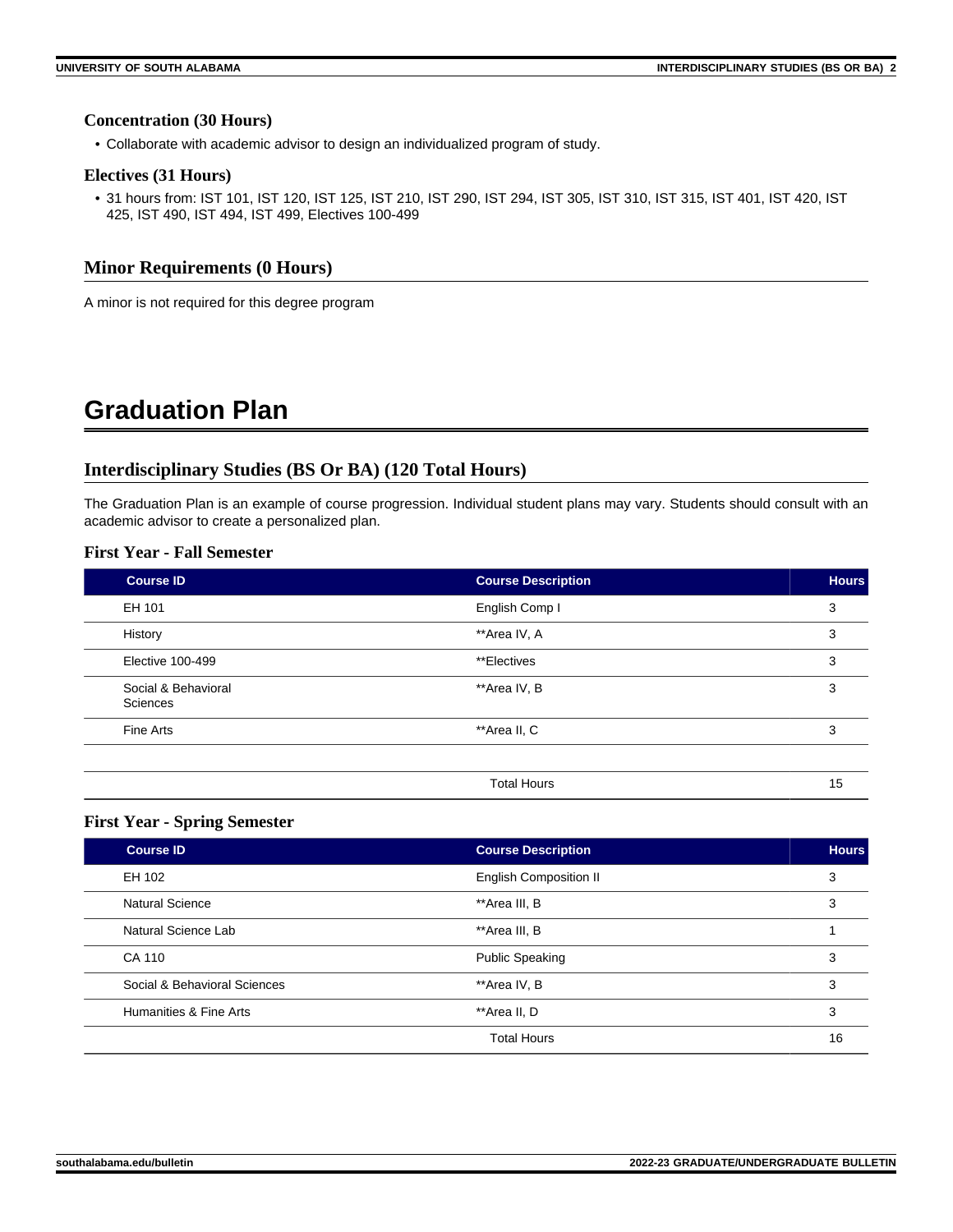#### **Concentration (30 Hours)**

• Collaborate with academic advisor to design an individualized program of study.

#### **Electives (31 Hours)**

• 31 hours from: IST 101, IST 120, IST 125, IST 210, IST 290, IST 294, IST 305, IST 310, IST 315, IST 401, IST 420, IST 425, IST 490, IST 494, IST 499, Electives 100-499

#### **Minor Requirements (0 Hours)**

A minor is not required for this degree program

## **Graduation Plan**

#### **Interdisciplinary Studies (BS Or BA) (120 Total Hours)**

The Graduation Plan is an example of course progression. Individual student plans may vary. Students should consult with an academic advisor to create a personalized plan.

#### **First Year - Fall Semester**

| <b>Course ID</b>                | <b>Course Description</b> | <b>Hours</b> |
|---------------------------------|---------------------------|--------------|
| EH 101                          | English Comp I            | 3            |
| History                         | **Area IV, A              | 3            |
| Elective 100-499                | **Electives               | 3            |
| Social & Behavioral<br>Sciences | **Area IV, B              | 3            |
| Fine Arts                       | **Area II, C              | 3            |
|                                 |                           |              |
|                                 | <b>Total Hours</b>        | 15           |

#### **First Year - Spring Semester**

| Course <b>ID</b>             | <b>Course Description</b>     | <b>Hours</b> |
|------------------------------|-------------------------------|--------------|
| EH 102                       | <b>English Composition II</b> | 3            |
| <b>Natural Science</b>       | **Area III, B                 | 3            |
| Natural Science Lab          | **Area III, B                 |              |
| CA 110                       | <b>Public Speaking</b>        | 3            |
| Social & Behavioral Sciences | **Area IV, B                  | 3            |
| Humanities & Fine Arts       | **Area II. D                  | 3            |
|                              | <b>Total Hours</b>            | 16           |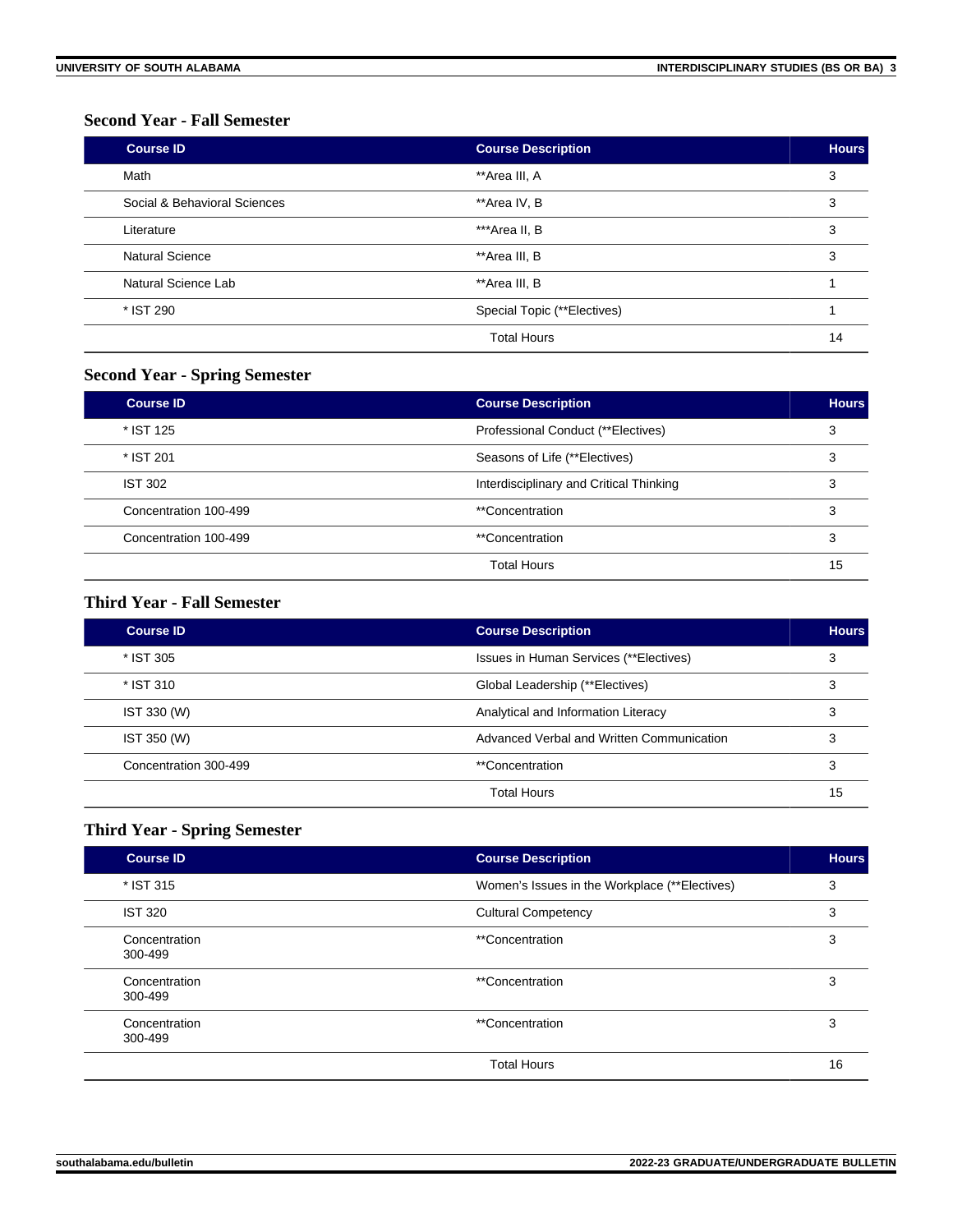#### **Second Year - Fall Semester**

| <b>Course ID</b>             | <b>Course Description</b>   | <b>Hours</b> |
|------------------------------|-----------------------------|--------------|
| Math                         | **Area III, A               | 3            |
| Social & Behavioral Sciences | **Area IV, B                | 3            |
| Literature                   | ***Area II, B               | 3            |
| Natural Science              | **Area III, B               | 3            |
| Natural Science Lab          | **Area III, B               |              |
| * IST 290                    | Special Topic (**Electives) |              |
|                              | <b>Total Hours</b>          | 14           |

### **Second Year - Spring Semester**

| <b>Course ID</b>      | <b>Course Description</b>               | <b>Hours</b> |
|-----------------------|-----------------------------------------|--------------|
| * IST 125             | Professional Conduct (**Electives)      |              |
| * IST 201             | Seasons of Life (**Electives)           |              |
| <b>IST 302</b>        | Interdisciplinary and Critical Thinking |              |
| Concentration 100-499 | **Concentration                         |              |
| Concentration 100-499 | <i>**</i> Concentration                 |              |
|                       | <b>Total Hours</b>                      | 15           |

#### **Third Year - Fall Semester**

| <b>Course ID</b>      | <b>Course Description</b>                 | <b>Hours</b> |
|-----------------------|-------------------------------------------|--------------|
| * IST 305             | Issues in Human Services (**Electives)    |              |
| * IST 310             | Global Leadership (**Electives)           |              |
| IST 330 (W)           | Analytical and Information Literacy       |              |
| IST 350 (W)           | Advanced Verbal and Written Communication |              |
| Concentration 300-499 | **Concentration                           |              |
|                       | <b>Total Hours</b>                        | 15           |

### **Third Year - Spring Semester**

| <b>Course ID</b>         | <b>Course Description</b>                     | <b>Hours</b> |
|--------------------------|-----------------------------------------------|--------------|
| * IST 315                | Women's Issues in the Workplace (**Electives) | 3            |
| <b>IST 320</b>           | <b>Cultural Competency</b>                    | 3            |
| Concentration<br>300-499 | <i>**</i> Concentration                       | 3            |
| Concentration<br>300-499 | <i>**</i> Concentration                       | 3            |
| Concentration<br>300-499 | <i>**</i> Concentration                       | 3            |
|                          | <b>Total Hours</b>                            | 16           |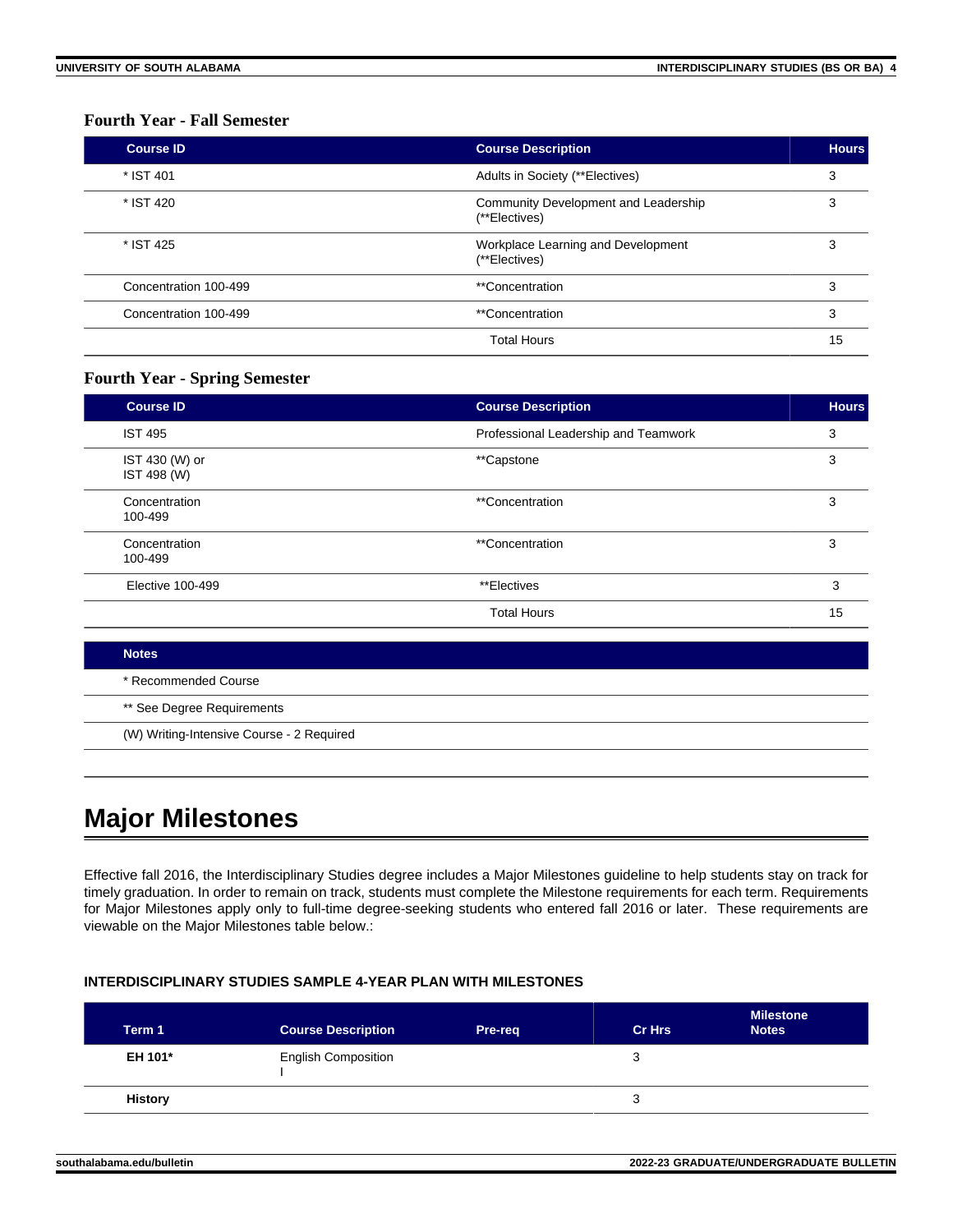#### **Fourth Year - Fall Semester**

| <b>Course ID</b>      | <b>Course Description</b>                             | <b>Hours</b> |
|-----------------------|-------------------------------------------------------|--------------|
| * IST 401             | Adults in Society (**Electives)                       | 3            |
| * IST 420             | Community Development and Leadership<br>(**Electives) | 3            |
| * IST 425             | Workplace Learning and Development<br>(**Electives)   | 3            |
| Concentration 100-499 | **Concentration                                       | 3            |
| Concentration 100-499 | **Concentration                                       | 3            |
|                       | <b>Total Hours</b>                                    | 15           |

#### **Fourth Year - Spring Semester**

| <b>Course ID</b>              | <b>Course Description</b>            | <b>Hours</b> |
|-------------------------------|--------------------------------------|--------------|
| <b>IST 495</b>                | Professional Leadership and Teamwork | 3            |
| IST 430 (W) or<br>IST 498 (W) | **Capstone                           | 3            |
| Concentration<br>100-499      | <i>**</i> Concentration              | 3            |
| Concentration<br>100-499      | <i>**</i> Concentration              | 3            |
| Elective 100-499              | **Electives                          | 3            |
|                               | <b>Total Hours</b>                   | 15           |

| <b>Notes</b>                              |
|-------------------------------------------|
| * Recommended Course                      |
| ** See Degree Requirements                |
| (W) Writing-Intensive Course - 2 Required |

## **Major Milestones**

Effective fall 2016, the Interdisciplinary Studies degree includes a Major Milestones guideline to help students stay on track for timely graduation. In order to remain on track, students must complete the Milestone requirements for each term. Requirements for Major Milestones apply only to full-time degree-seeking students who entered fall 2016 or later. These requirements are viewable on the Major Milestones table below.:

#### **INTERDISCIPLINARY STUDIES SAMPLE 4-YEAR PLAN WITH MILESTONES**

| Term 1         | <b>Course Description</b>  | Pre-req | <b>Cr Hrs</b> | <b>Milestone</b><br><b>Notes</b> |
|----------------|----------------------------|---------|---------------|----------------------------------|
| EH 101*        | <b>English Composition</b> |         | З             |                                  |
| <b>History</b> |                            |         | З             |                                  |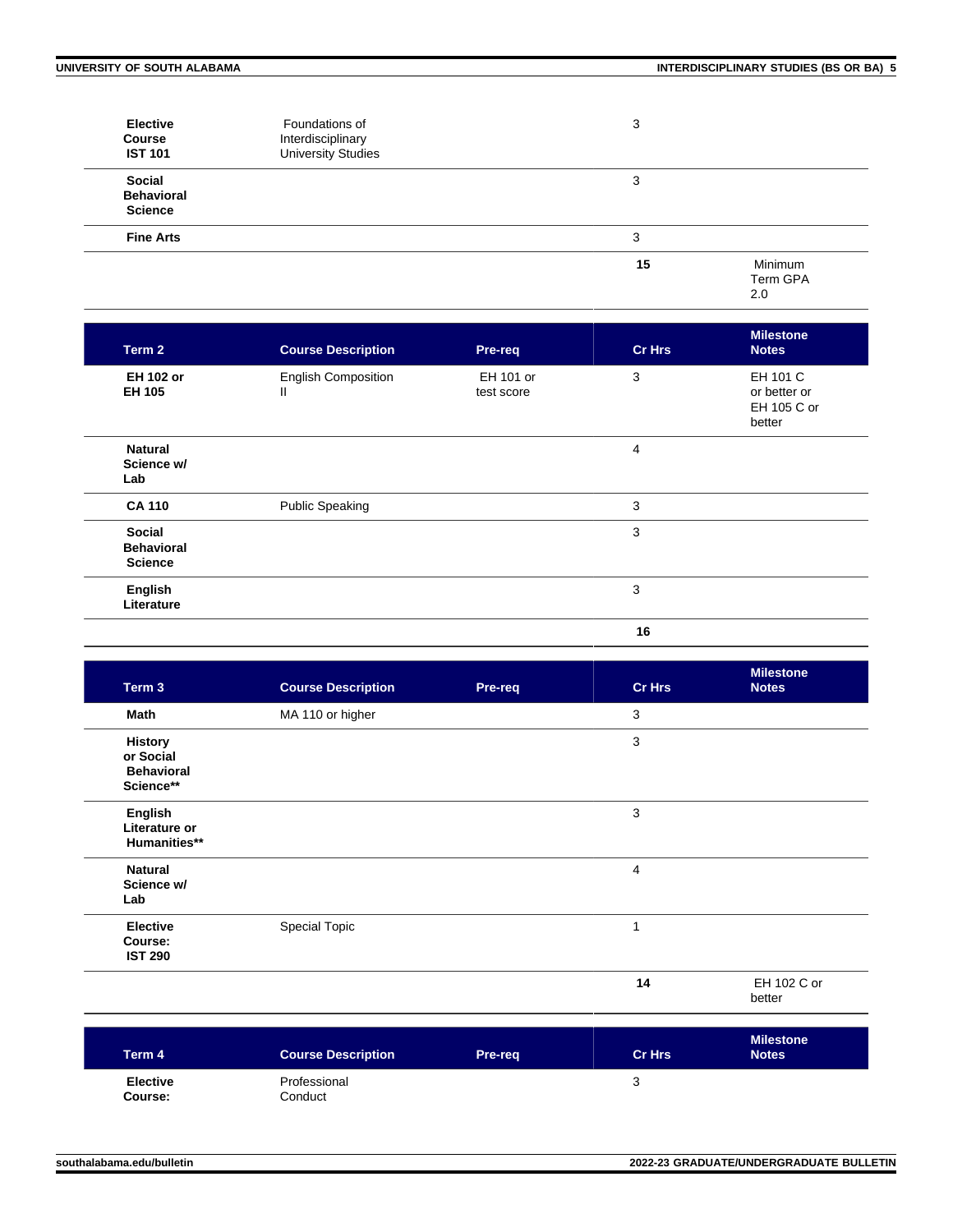| <b>Elective</b><br><b>Course</b><br><b>IST 101</b> | Foundations of<br>Interdisciplinary<br><b>University Studies</b> | 3  |                            |
|----------------------------------------------------|------------------------------------------------------------------|----|----------------------------|
| Social<br><b>Behavioral</b><br><b>Science</b>      |                                                                  | 3  |                            |
| <b>Fine Arts</b>                                   |                                                                  | 3  |                            |
|                                                    |                                                                  | 15 | Minimum<br>Term GPA<br>2.0 |

| Term 2                                        | <b>Course Description</b>       | Pre-req                 | <b>Cr Hrs</b> | <b>Milestone</b><br><b>Notes</b>                  |
|-----------------------------------------------|---------------------------------|-------------------------|---------------|---------------------------------------------------|
| <b>EH 102 or</b><br><b>EH 105</b>             | <b>English Composition</b><br>Ш | EH 101 or<br>test score | 3             | EH 101 C<br>or better or<br>EH 105 C or<br>better |
| <b>Natural</b><br>Science w/<br>Lab           |                                 |                         | 4             |                                                   |
| <b>CA 110</b>                                 | <b>Public Speaking</b>          |                         | 3             |                                                   |
| Social<br><b>Behavioral</b><br><b>Science</b> |                                 |                         | 3             |                                                   |
| English<br>Literature                         |                                 |                         | 3             |                                                   |
|                                               |                                 |                         | 16            |                                                   |

| Term 3                                                        | <b>Course Description</b> | Pre-req | <b>Cr Hrs</b> | <b>Milestone</b><br><b>Notes</b> |
|---------------------------------------------------------------|---------------------------|---------|---------------|----------------------------------|
| Math                                                          | MA 110 or higher          |         | 3             |                                  |
| <b>History</b><br>or Social<br><b>Behavioral</b><br>Science** |                           |         | 3             |                                  |
| English<br>Literature or<br>Humanities**                      |                           |         | 3             |                                  |
| <b>Natural</b><br>Science w/<br>Lab                           |                           |         | 4             |                                  |
| <b>Elective</b><br>Course:<br><b>IST 290</b>                  | <b>Special Topic</b>      |         | 1             |                                  |
|                                                               |                           |         | 14            | EH 102 C or<br>better            |

| Term 4                     | <b>Course Description</b> | Pre-req | <b>Cr Hrs</b> | <b>Milestone</b><br><b>Notes</b> |
|----------------------------|---------------------------|---------|---------------|----------------------------------|
| <b>Elective</b><br>Course: | Professional<br>Conduct   |         | ັ             |                                  |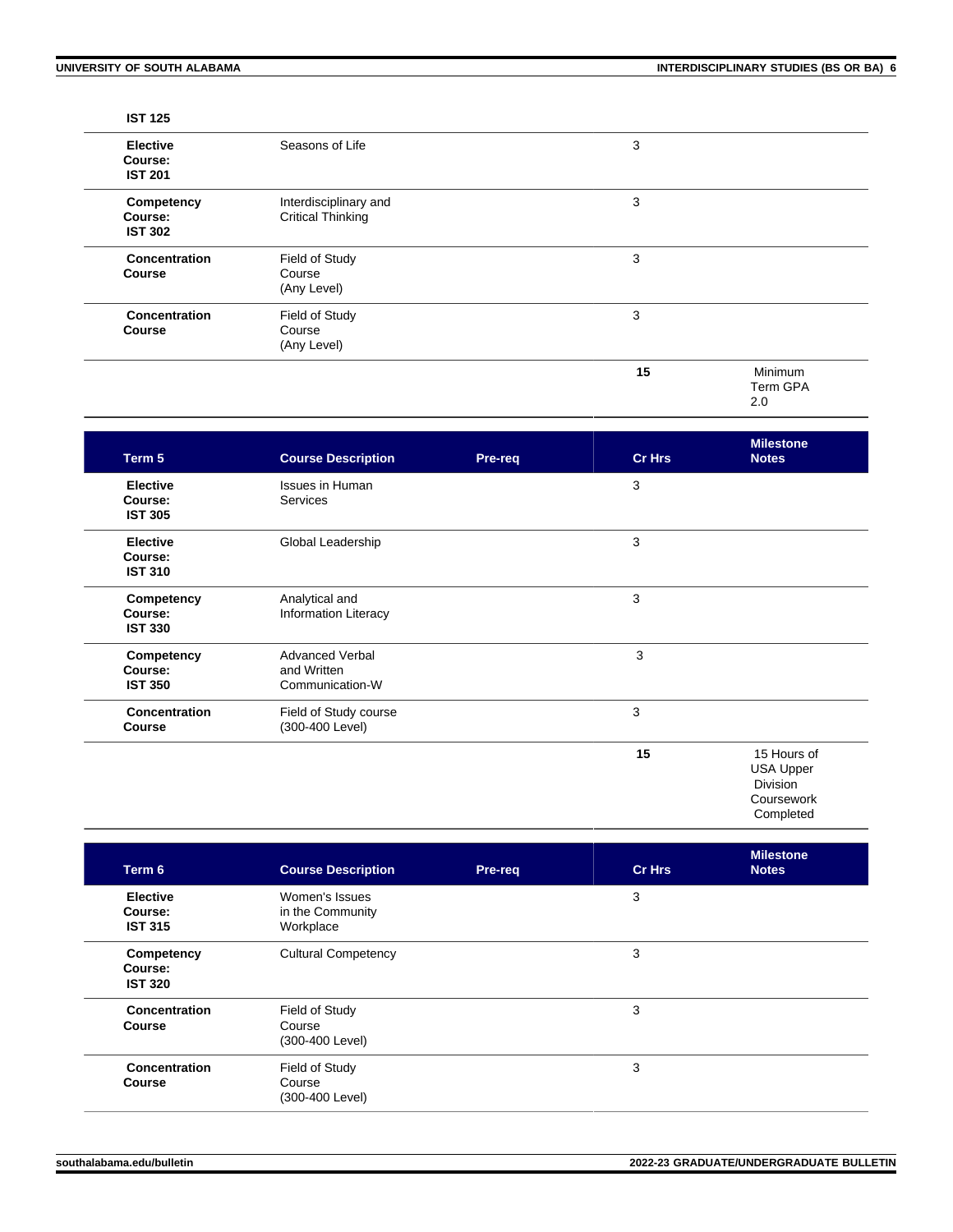#### **IST 125**

| <b>Elective</b><br>Course:<br><b>IST 201</b> | Seasons of Life                                   | 3  |                            |
|----------------------------------------------|---------------------------------------------------|----|----------------------------|
| Competency<br>Course:<br><b>IST 302</b>      | Interdisciplinary and<br><b>Critical Thinking</b> | 3  |                            |
| Concentration<br><b>Course</b>               | Field of Study<br>Course<br>(Any Level)           | 3  |                            |
| <b>Concentration</b><br><b>Course</b>        | Field of Study<br>Course<br>(Any Level)           | 3  |                            |
|                                              |                                                   | 15 | Minimum<br>Term GPA<br>2.0 |

| Term 5                                       | <b>Course Description</b>                                | Pre-req | <b>Cr Hrs</b> | <b>Milestone</b><br><b>Notes</b>                                              |
|----------------------------------------------|----------------------------------------------------------|---------|---------------|-------------------------------------------------------------------------------|
| <b>Elective</b><br>Course:<br><b>IST 305</b> | <b>Issues in Human</b><br><b>Services</b>                |         | 3             |                                                                               |
| <b>Elective</b><br>Course:<br><b>IST 310</b> | Global Leadership                                        |         | 3             |                                                                               |
| Competency<br>Course:<br><b>IST 330</b>      | Analytical and<br><b>Information Literacy</b>            |         | 3             |                                                                               |
| Competency<br>Course:<br><b>IST 350</b>      | <b>Advanced Verbal</b><br>and Written<br>Communication-W |         | 3             |                                                                               |
| <b>Concentration</b><br><b>Course</b>        | Field of Study course<br>(300-400 Level)                 |         | 3             |                                                                               |
|                                              |                                                          |         | 15            | 15 Hours of<br><b>USA Upper</b><br><b>Division</b><br>Coursework<br>Completed |

| Term 6                                       | <b>Course Description</b>                       | Pre-req | <b>Cr Hrs</b> | <b>Milestone</b><br><b>Notes</b> |
|----------------------------------------------|-------------------------------------------------|---------|---------------|----------------------------------|
| <b>Elective</b><br>Course:<br><b>IST 315</b> | Women's Issues<br>in the Community<br>Workplace |         | 3             |                                  |
| Competency<br>Course:<br><b>IST 320</b>      | <b>Cultural Competency</b>                      |         | 3             |                                  |
| Concentration<br><b>Course</b>               | Field of Study<br>Course<br>(300-400 Level)     |         | 3             |                                  |
| Concentration<br><b>Course</b>               | Field of Study<br>Course<br>(300-400 Level)     |         | 3             |                                  |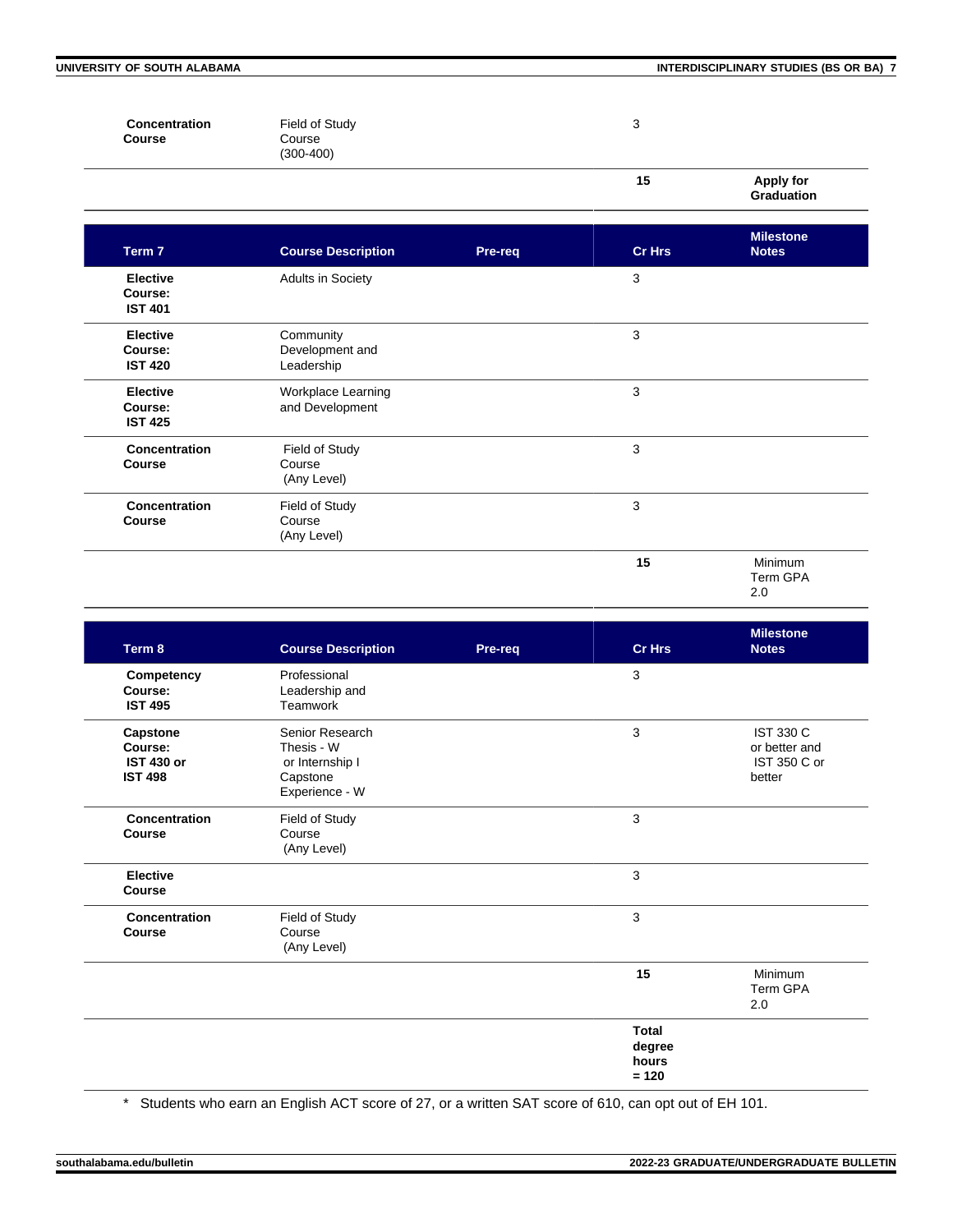$\mathbb{R}$ 

**UNIVERSITY OF SOUTH ALABAMA INTERDISCIPLINARY STUDIES (BS OR BA) 7**

| <b>Concentration</b><br><b>Course</b> | Field of Study<br>Course<br>$(300-400)$ | 3  |                                       |
|---------------------------------------|-----------------------------------------|----|---------------------------------------|
|                                       |                                         | 15 | <b>Apply for</b><br><b>Graduation</b> |

| Term 7                                       | <b>Course Description</b>                  | Pre-req | <b>Cr Hrs</b> | <b>Milestone</b><br><b>Notes</b>  |
|----------------------------------------------|--------------------------------------------|---------|---------------|-----------------------------------|
| <b>Elective</b><br>Course:<br><b>IST 401</b> | Adults in Society                          |         | 3             |                                   |
| <b>Elective</b><br>Course:<br><b>IST 420</b> | Community<br>Development and<br>Leadership |         | 3             |                                   |
| <b>Elective</b><br>Course:<br><b>IST 425</b> | Workplace Learning<br>and Development      |         | 3             |                                   |
| Concentration<br><b>Course</b>               | Field of Study<br>Course<br>(Any Level)    |         | 3             |                                   |
| Concentration<br>Course                      | Field of Study<br>Course<br>(Any Level)    |         | 3             |                                   |
|                                              |                                            |         | 15            | <b>Minimum</b><br>Term GPA<br>2.0 |

| Term 8                                                     | <b>Course Description</b>                                                      | Pre-req | <b>Cr Hrs</b>                              | <b>Milestone</b><br><b>Notes</b>                            |
|------------------------------------------------------------|--------------------------------------------------------------------------------|---------|--------------------------------------------|-------------------------------------------------------------|
| Competency<br>Course:<br><b>IST 495</b>                    | Professional<br>Leadership and<br>Teamwork                                     |         | 3                                          |                                                             |
| Capstone<br>Course:<br><b>IST 430 or</b><br><b>IST 498</b> | Senior Research<br>Thesis - W<br>or Internship I<br>Capstone<br>Experience - W |         | 3                                          | <b>IST 330 C</b><br>or better and<br>IST 350 C or<br>better |
| Concentration<br><b>Course</b>                             | Field of Study<br>Course<br>(Any Level)                                        |         | 3                                          |                                                             |
| <b>Elective</b><br>Course                                  |                                                                                |         | $\mathbf{3}$                               |                                                             |
| Concentration<br><b>Course</b>                             | Field of Study<br>Course<br>(Any Level)                                        |         | 3                                          |                                                             |
|                                                            |                                                                                |         | 15                                         | Minimum<br><b>Term GPA</b><br>2.0                           |
|                                                            |                                                                                |         | <b>Total</b><br>degree<br>hours<br>$= 120$ |                                                             |

\* Students who earn an English ACT score of 27, or a written SAT score of 610, can opt out of EH 101.